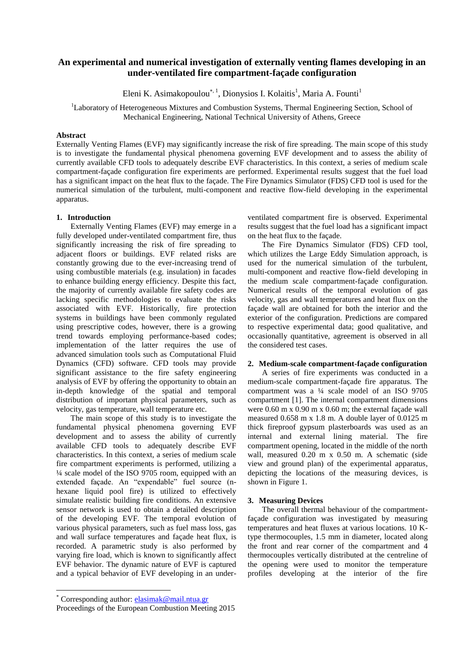# **An experimental and numerical investigation of externally venting flames developing in an under-ventilated fire compartment-façade configuration**

Eleni K. Asimakopoulou<sup>\*, 1</sup>, Dionysios I. Kolaitis<sup>1</sup>, Maria A. Founti<sup>1</sup>

<sup>1</sup>Laboratory of Heterogeneous Mixtures and Combustion Systems, Thermal Engineering Section, School of Mechanical Engineering, National Technical University of Athens, Greece

### **Abstract**

Externally Venting Flames (EVF) may significantly increase the risk of fire spreading. The main scope of this study is to investigate the fundamental physical phenomena governing EVF development and to assess the ability of currently available CFD tools to adequately describe EVF characteristics. In this context, a series of medium scale compartment-façade configuration fire experiments are performed. Experimental results suggest that the fuel load has a significant impact on the heat flux to the façade. The Fire Dynamics Simulator (FDS) CFD tool is used for the numerical simulation of the turbulent, multi-component and reactive flow-field developing in the experimental apparatus.

### **1. Introduction**

Externally Venting Flames (EVF) may emerge in a fully developed under-ventilated compartment fire, thus significantly increasing the risk of fire spreading to adjacent floors or buildings. EVF related risks are constantly growing due to the ever-increasing trend of using combustible materials (e.g. insulation) in facades to enhance building energy efficiency. Despite this fact, the majority of currently available fire safety codes are lacking specific methodologies to evaluate the risks associated with EVF. Historically, fire protection systems in buildings have been commonly regulated using prescriptive codes, however, there is a growing trend towards employing performance-based codes; implementation of the latter requires the use of advanced simulation tools such as Computational Fluid Dynamics (CFD) software. CFD tools may provide significant assistance to the fire safety engineering analysis of EVF by offering the opportunity to obtain an in-depth knowledge of the spatial and temporal distribution of important physical parameters, such as velocity, gas temperature, wall temperature etc.

The main scope of this study is to investigate the fundamental physical phenomena governing EVF development and to assess the ability of currently available CFD tools to adequately describe EVF characteristics. In this context, a series of medium scale fire compartment experiments is performed, utilizing a ¼ scale model of the ISO 9705 room, equipped with an extended façade. An "expendable" fuel source (nhexane liquid pool fire) is utilized to effectively simulate realistic building fire conditions. An extensive sensor network is used to obtain a detailed description of the developing EVF. The temporal evolution of various physical parameters, such as fuel mass loss, gas and wall surface temperatures and façade heat flux, is recorded. A parametric study is also performed by varying fire load, which is known to significantly affect EVF behavior. The dynamic nature of EVF is captured and a typical behavior of EVF developing in an under-

 $\overline{a}$ 

ventilated compartment fire is observed. Experimental results suggest that the fuel load has a significant impact on the heat flux to the façade.

The Fire Dynamics Simulator (FDS) CFD tool, which utilizes the Large Eddy Simulation approach, is used for the numerical simulation of the turbulent, multi-component and reactive flow-field developing in the medium scale compartment-façade configuration. Numerical results of the temporal evolution of gas velocity, gas and wall temperatures and heat flux on the façade wall are obtained for both the interior and the exterior of the configuration. Predictions are compared to respective experimental data; good qualitative, and occasionally quantitative, agreement is observed in all the considered test cases.

### **2. Medium-scale compartment-façade configuration**

A series of fire experiments was conducted in a medium-scale compartment-façade fire apparatus. The compartment was a ¼ scale model of an ISO 9705 compartment [1]. The internal compartment dimensions were 0.60 m x 0.90 m x 0.60 m; the external façade wall measured 0.658 m x 1.8 m. A double layer of 0.0125 m thick fireproof gypsum plasterboards was used as an internal and external lining material. The fire compartment opening, located in the middle of the north wall, measured 0.20 m x 0.50 m. A schematic (side view and ground plan) of the experimental apparatus, depicting the locations of the measuring devices, is shown in Figure 1.

### **3. Measuring Devices**

The overall thermal behaviour of the compartmentfaçade configuration was investigated by measuring temperatures and heat fluxes at various locations. 10 Ktype thermocouples, 1.5 mm in diameter, located along the front and rear corner of the compartment and 4 thermocouples vertically distributed at the centreline of the opening were used to monitor the temperature profiles developing at the interior of the fire

<sup>\*</sup> Corresponding author: [elasimak@mail.ntua.gr](mailto:elasimak@mail.ntua.gr)

Proceedings of the European Combustion Meeting 2015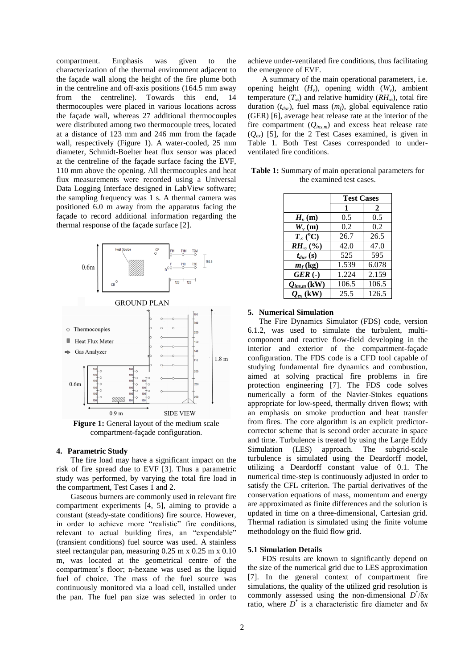compartment. Emphasis was given to the characterization of the thermal environment adjacent to the façade wall along the height of the fire plume both in the centreline and off-axis positions (164.5 mm away from the centreline). Towards this end, 14 thermocouples were placed in various locations across the façade wall, whereas 27 additional thermocouples were distributed among two thermocouple trees, located at a distance of 123 mm and 246 mm from the façade wall, respectively (Figure 1). A water-cooled, 25 mm diameter, Schmidt-Boelter heat flux sensor was placed at the centreline of the façade surface facing the EVF, 110 mm above the opening. All thermocouples and heat flux measurements were recorded using a Universal Data Logging Interface designed in LabView software; the sampling frequency was 1 s. A thermal camera was positioned 6.0 m away from the apparatus facing the façade to record additional information regarding the thermal response of the façade surface [2].



**Figure 1:** General layout of the medium scale compartment-façade configuration.

### **4. Parametric Study**

The fire load may have a significant impact on the risk of fire spread due to EVF [3]. Thus a parametric study was performed, by varying the total fire load in the compartment, Test Cases 1 and 2.

Gaseous burners are commonly used in relevant fire compartment experiments [4, 5], aiming to provide a constant (steady-state conditions) fire source. However, in order to achieve more "realistic" fire conditions, relevant to actual building fires, an "expendable" (transient conditions) fuel source was used. A stainless steel rectangular pan, measuring 0.25 m x 0.25 m x 0.10 m, was located at the geometrical centre of the compartment's floor; n-hexane was used as the liquid fuel of choice. The mass of the fuel source was continuously monitored via a load cell, installed under the pan. The fuel pan size was selected in order to achieve under-ventilated fire conditions, thus facilitating the emergence of EVF.

A summary of the main operational parameters, i.e. opening height  $(H_v)$ , opening width  $(W_v)$ , ambient temperature  $(T_\infty)$  and relative humidity  $(RH_\infty)$ , total fire duration (*tdur*), fuel mass (*mf*), global equivalence ratio (GER) [6], average heat release rate at the interior of the fire compartment (*Qins,m*) and excess heat release rate (*Qex*) [5], for the 2 Test Cases examined, is given in Table 1*.* Both Test Cases corresponded to underventilated fire conditions.

|                       | <b>Test Cases</b> |       |
|-----------------------|-------------------|-------|
|                       | 1                 | 2     |
| $H_{\nu}(\mathbf{m})$ | 0.5               | 0.5   |
| $W_{\nu}(\mathbf{m})$ | 0.2               | 0.2   |
| $T_{\infty}$ (°C)     | 26.7              | 26.5  |
| $RH_{\infty}(\% )$    | 42.0              | 47.0  |
| $t_{dur}$ (s)         | 525               | 595   |
| $m_f$ (kg)            | 1.539             | 6.078 |
| GER(.)                | 1.224             | 2.159 |
| $Q_{ins,m}$ (kW)      | 106.5             | 106.5 |
| $Q_{ex}$ (kW)         | 25.5              | 126.5 |

**Table 1:** Summary of main operational parameters for the examined test cases.

### **5. Numerical Simulation**

The Fire Dynamics Simulator (FDS) code, version 6.1.2, was used to simulate the turbulent, multicomponent and reactive flow-field developing in the interior and exterior of the compartment-façade configuration. The FDS code is a CFD tool capable of studying fundamental fire dynamics and combustion, aimed at solving practical fire problems in fire protection engineering [7]. The FDS code solves numerically a form of the Navier-Stokes equations appropriate for low-speed, thermally driven flows; with an emphasis on smoke production and heat transfer from fires. The core algorithm is an explicit predictorcorrector scheme that is second order accurate in space and time. Turbulence is treated by using the Large Eddy Simulation (LES) approach. The subgrid-scale turbulence is simulated using the Deardorff model, utilizing a Deardorff constant value of 0.1. The numerical time-step is continuously adjusted in order to satisfy the CFL criterion. The partial derivatives of the conservation equations of mass, momentum and energy are approximated as finite differences and the solution is updated in time on a three-dimensional, Cartesian grid. Thermal radiation is simulated using the finite volume methodology on the fluid flow grid.

### **5.1 Simulation Details**

FDS results are known to significantly depend on the size of the numerical grid due to LES approximation [7]. In the general context of compartment fire simulations, the quality of the utilized grid resolution is commonly assessed using the non-dimensional *D* \* /δ*x* ratio, where *D* \* is a characteristic fire diameter and δ*x*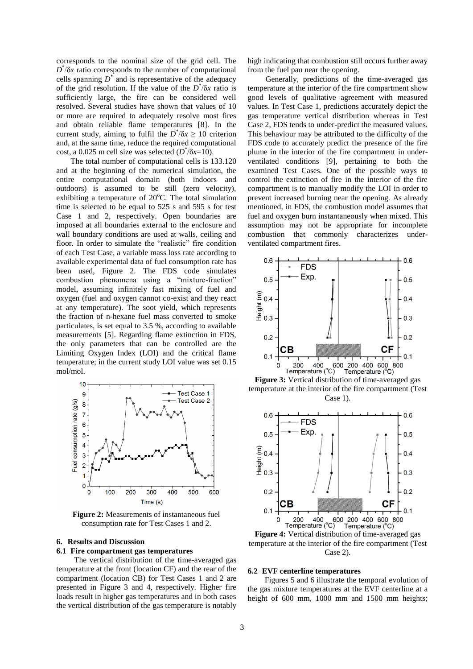corresponds to the nominal size of the grid cell. The *D* \* /δ*x* ratio corresponds to the number of computational cells spanning  $D^*$  and is representative of the adequacy of the grid resolution. If the value of the  $D^*$ / $\delta x$  ratio is sufficiently large, the fire can be considered well resolved. Several studies have shown that values of 10 or more are required to adequately resolve most fires and obtain reliable flame temperatures [8]. In the current study, aiming to fulfil the  $D^*\delta x \geq 10$  criterion and, at the same time, reduce the required computational cost, a 0.025 m cell size was selected (*D* \* /δ*x*=10).

The total number of computational cells is 133.120 and at the beginning of the numerical simulation, the entire computational domain (both indoors and outdoors) is assumed to be still (zero velocity), exhibiting a temperature of  $20^{\circ}$ C. The total simulation time is selected to be equal to 525 s and 595 s for test Case 1 and 2, respectively. Open boundaries are imposed at all boundaries external to the enclosure and wall boundary conditions are used at walls, ceiling and floor. In order to simulate the "realistic" fire condition of each Test Case, a variable mass loss rate according to available experimental data of fuel consumption rate has been used, Figure 2. The FDS code simulates combustion phenomena using a "mixture-fraction" model, assuming infinitely fast mixing of fuel and oxygen (fuel and oxygen cannot co-exist and they react at any temperature). The soot yield, which represents the fraction of n-hexane fuel mass converted to smoke particulates, is set equal to 3.5 %, according to available measurements [5]. Regarding flame extinction in FDS, the only parameters that can be controlled are the Limiting Oxygen Index (LOI) and the critical flame temperature; in the current study LOI value was set 0.15 mol/mol.



**Figure 2:** Measurements of instantaneous fuel consumption rate for Test Cases 1 and 2.

## **6. Results and Discussion**

## **6.1 Fire compartment gas temperatures**

The vertical distribution of the time-averaged gas temperature at the front (location CF) and the rear of the compartment (location CB) for Test Cases 1 and 2 are presented in Figure 3 and 4, respectively. Higher fire loads result in higher gas temperatures and in both cases the vertical distribution of the gas temperature is notably high indicating that combustion still occurs further away from the fuel pan near the opening.

Generally, predictions of the time-averaged gas temperature at the interior of the fire compartment show good levels of qualitative agreement with measured values. In Test Case 1, predictions accurately depict the gas temperature vertical distribution whereas in Test Case 2, FDS tends to under-predict the measured values. This behaviour may be attributed to the difficulty of the FDS code to accurately predict the presence of the fire plume in the interior of the fire compartment in underventilated conditions [9], pertaining to both the examined Test Cases. One of the possible ways to control the extinction of fire in the interior of the fire compartment is to manually modify the LOI in order to prevent increased burning near the opening. As already mentioned, in FDS, the combustion model assumes that fuel and oxygen burn instantaneously when mixed. This assumption may not be appropriate for incomplete combustion that commonly characterizes underventilated compartment fires.



**Figure 3:** Vertical distribution of time-averaged gas temperature at the interior of the fire compartment (Test Case 1).



temperature at the interior of the fire compartment (Test Case 2).

### **6.2 EVF centerline temperatures**

Figures 5 and 6 illustrate the temporal evolution of the gas mixture temperatures at the EVF centerline at a height of 600 mm, 1000 mm and 1500 mm heights;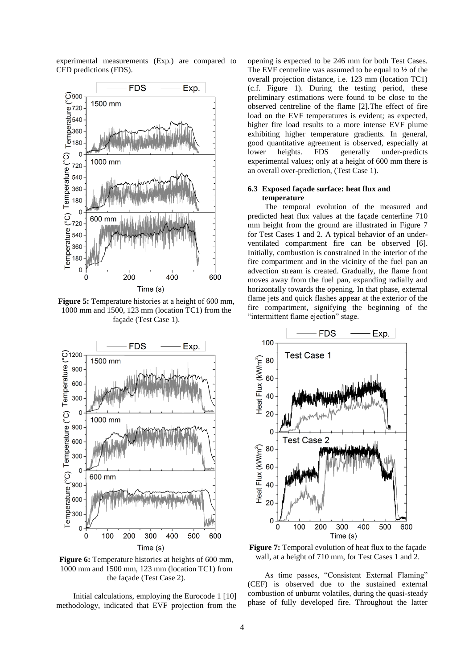experimental measurements (Exp.) are compared to CFD predictions (FDS).



**Figure 5:** Temperature histories at a height of 600 mm. 1000 mm and 1500, 123 mm (location TC1) from the façade (Test Case 1).



**Figure 6:** Temperature histories at heights of 600 mm, 1000 mm and 1500 mm, 123 mm (location TC1) from the façade (Test Case 2).

Initial calculations, employing the Eurocode 1 [10] methodology, indicated that EVF projection from the opening is expected to be 246 mm for both Test Cases. The EVF centreline was assumed to be equal to  $\frac{1}{2}$  of the overall projection distance, i.e. 123 mm (location TC1) (c.f. Figure 1). During the testing period, these preliminary estimations were found to be close to the observed centreline of the flame [2].The effect of fire load on the EVF temperatures is evident; as expected, higher fire load results to a more intense EVF plume exhibiting higher temperature gradients. In general, good quantitative agreement is observed, especially at lower heights. FDS generally under-predicts under-predicts experimental values; only at a height of 600 mm there is an overall over-prediction, (Test Case 1).

### **6.3 Exposed façade surface: heat flux and temperature**

The temporal evolution of the measured and predicted heat flux values at the façade centerline 710 mm height from the ground are illustrated in Figure 7 for Test Cases 1 and 2. A typical behavior of an underventilated compartment fire can be observed [6]. Initially, combustion is constrained in the interior of the fire compartment and in the vicinity of the fuel pan an advection stream is created. Gradually, the flame front moves away from the fuel pan, expanding radially and horizontally towards the opening. In that phase, external flame jets and quick flashes appear at the exterior of the fire compartment, signifying the beginning of the "intermittent flame ejection" stage.



**Figure 7:** Temporal evolution of heat flux to the façade wall, at a height of 710 mm, for Test Cases 1 and 2.

As time passes, "Consistent External Flaming" (CEF) is observed due to the sustained external combustion of unburnt volatiles, during the quasi-steady phase of fully developed fire. Throughout the latter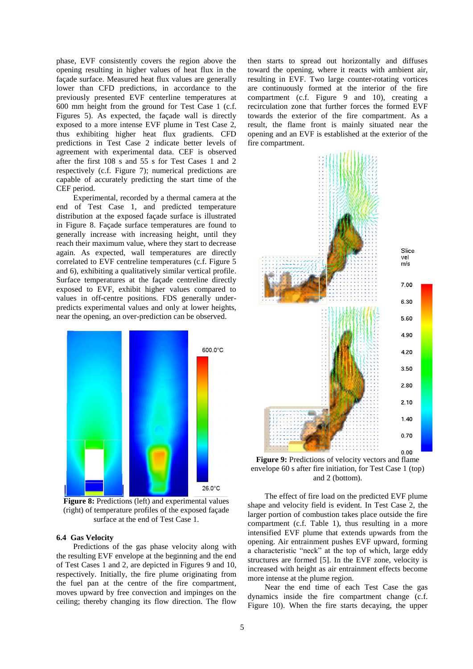phase, EVF consistently covers the region above the opening resulting in higher values of heat flux in the façade surface. Measured heat flux values are generally lower than CFD predictions, in accordance to the previously presented EVF centerline temperatures at 600 mm height from the ground for Test Case 1 (c.f. Figures 5). As expected, the façade wall is directly exposed to a more intense EVF plume in Test Case 2, thus exhibiting higher heat flux gradients. CFD predictions in Test Case 2 indicate better levels of agreement with experimental data. CEF is observed after the first 108 s and 55 s for Test Cases 1 and 2 respectively (c.f. Figure 7); numerical predictions are capable of accurately predicting the start time of the CEF period.

Experimental, recorded by a thermal camera at the end of Test Case 1, and predicted temperature distribution at the exposed façade surface is illustrated in Figure 8. Façade surface temperatures are found to generally increase with increasing height, until they reach their maximum value, where they start to decrease again. As expected, wall temperatures are directly correlated to EVF centreline temperatures (c.f. Figure 5 and 6), exhibiting a qualitatively similar vertical profile. Surface temperatures at the façade centreline directly exposed to EVF, exhibit higher values compared to values in off-centre positions. FDS generally underpredicts experimental values and only at lower heights, near the opening, an over-prediction can be observed.



**Figure 8:** Predictions (left) and experimental values (right) of temperature profiles of the exposed façade surface at the end of Test Case 1.

### **6.4 Gas Velocity**

Predictions of the gas phase velocity along with the resulting EVF envelope at the beginning and the end of Test Cases 1 and 2, are depicted in Figures 9 and 10, respectively. Initially, the fire plume originating from the fuel pan at the centre of the fire compartment, moves upward by free convection and impinges on the ceiling; thereby changing its flow direction. The flow

then starts to spread out horizontally and diffuses toward the opening, where it reacts with ambient air, resulting in EVF. Two large counter-rotating vortices are continuously formed at the interior of the fire compartment (c.f. Figure 9 and 10), creating a recirculation zone that further forces the formed EVF towards the exterior of the fire compartment. As a result, the flame front is mainly situated near the opening and an EVF is established at the exterior of the fire compartment.



**Figure 9:** Predictions of velocity vectors and flame envelope 60 s after fire initiation, for Test Case 1 (top) and 2 (bottom).

The effect of fire load on the predicted EVF plume shape and velocity field is evident. In Test Case 2, the larger portion of combustion takes place outside the fire compartment (c.f. Table 1), thus resulting in a more intensified EVF plume that extends upwards from the opening. Air entrainment pushes EVF upward, forming a characteristic "neck" at the top of which, large eddy structures are formed [5]. In the EVF zone, velocity is increased with height as air entrainment effects become more intense at the plume region.

Near the end time of each Test Case the gas dynamics inside the fire compartment change (c.f. Figure 10). When the fire starts decaying, the upper